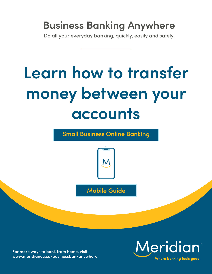## **Business Banking Anywhere**

Do all your everyday banking, quickly, easily and safely.

# **Learn how to transfer money between your accounts**

**Small Business Online Banking**



**Mobile Guide**

**For more ways to bank from home, visit: [www.meridiancu.ca/businessbankanywhere](http://www.meridiancu.ca/businessbankanywhere)**

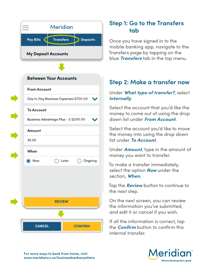

### **Step 1: Go to the Transfers tab**

Once you have signed in to the mobile banking app, navigate to the Transfers page by tapping on the blue *Transfers* tab in the top menu.

#### **Step 2: Make a transfer now**

#### Under *What type of transfer?*, select *Internally*.

Select the account that you'd like the money to come out of using the drop down list under *From Account*.

Select the account you'd like to move the money into using the drop down list under *To Account*.

Under *Amount*, type in the amount of money you want to transfer.

To make a transfer immediately, select the option *Now* under the section, *When*.

Tap the *Review* button to continue to the next step.

On the next screen, you can review the information you've submitted, and edit it or cancel if you wish.

If all the information is correct, tap the *Confirm* button to confirm this internal transfer.



**For more ways to bank from home, visit: www.meridiancu.ca/businessbankanywhere**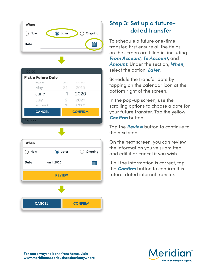

| 3U |                |
|----|----------------|
| 31 | 2019           |
| 1  | 2020           |
| 2  | 2021           |
| C  | つのつつ           |
|    | <b>CONFIRM</b> |
|    |                |
|    |                |



### **Step 3: Set up a futuredated transfer**

To schedule a future one-time transfer, first ensure all the fields on the screen are filled in, including *From Account*, *To Account*, and *Amount*. Under the section, *When*, select the option, *Later*.

Schedule the transfer date by tapping on the calendar icon at the bottom right of the screen.

In the pop-up screen, use the scrolling options to choose a date for your future transfer. Tap the yellow *Confirm* button.

Tap the *Review* button to continue to the next step.

On the next screen, you can review the information you've submitted, and edit it or cancel if you wish.

If all the information is correct, tap the *Confirm* button to confirm this future-dated internal transfer.